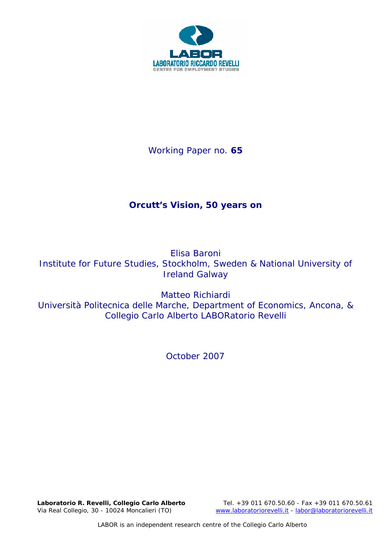

Working Paper no. **65** 

# **Orcutt's Vision, 50 years on**

Elisa Baroni Institute for Future Studies, Stockholm, Sweden & National University of Ireland Galway

Matteo Richiardi Università Politecnica delle Marche, Department of Economics, Ancona, & Collegio Carlo Alberto LABORatorio Revelli

*October 2007* 

Via Real Collegio, 30 - 10024 Moncalieri (TO) www.laboratoriorevelli.it - labor@laboratoriorevelli.it

**Laboratorio R. Revelli,** *Collegio Carlo Alberto* Tel. +39 011 670.50.60 - Fax +39 011 670.50.61

LABOR is an independent research centre of the Collegio Carlo Alberto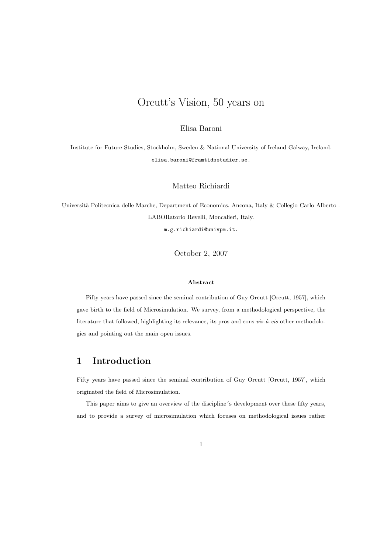# Orcutt's Vision, 50 years on

### Elisa Baroni

Institute for Future Studies, Stockholm, Sweden & National University of Ireland Galway, Ireland. elisa.baroni@framtidsstudier.se.

### Matteo Richiardi

Università Politecnica delle Marche, Department of Economics, Ancona, Italy & Collegio Carlo Alberto -LABORatorio Revelli, Moncalieri, Italy.

m.g.richiardi@univpm.it.

October 2, 2007

### Abstract

Fifty years have passed since the seminal contribution of Guy Orcutt [Orcutt, 1957], which gave birth to the field of Microsimulation. We survey, from a methodological perspective, the literature that followed, highlighting its relevance, its pros and cons  $vis-\hat{a}-vis$  other methodologies and pointing out the main open issues.

# 1 Introduction

Fifty years have passed since the seminal contribution of Guy Orcutt [Orcutt, 1957], which originated the field of Microsimulation.

This paper aims to give an overview of the discipline´s development over these fifty years, and to provide a survey of microsimulation which focuses on methodological issues rather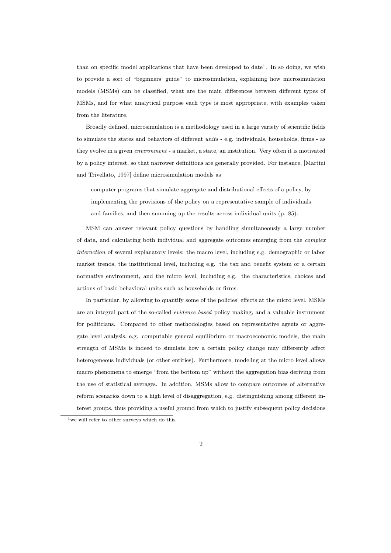than on specific model applications that have been developed to date<sup>1</sup>. In so doing, we wish to provide a sort of "beginners' guide" to microsimulation, explaining how microsimulation models (MSMs) can be classified, what are the main differences between different types of MSMs, and for what analytical purpose each type is most appropriate, with examples taken from the literature.

Broadly defined, microsimulation is a methodology used in a large variety of scientific fields to simulate the states and behaviors of different units - e.g. individuals, households, firms - as they evolve in a given environment - a market, a state, an institution. Very often it is motivated by a policy interest, so that narrower definitions are generally provided. For instance, [Martini and Trivellato, 1997] define microsimulation models as

computer programs that simulate aggregate and distributional effects of a policy, by implementing the provisions of the policy on a representative sample of individuals and families, and then summing up the results across individual units (p. 85).

MSM can answer relevant policy questions by handling simultaneously a large number of data, and calculating both individual and aggregate outcomes emerging from the complex interaction of several explanatory levels: the macro level, including e.g. demographic or labor market trends, the institutional level, including e.g. the tax and benefit system or a certain normative environment, and the micro level, including e.g. the characteristics, choices and actions of basic behavioral units such as households or firms.

In particular, by allowing to quantify some of the policies' effects at the micro level, MSMs are an integral part of the so-called evidence based policy making, and a valuable instrument for politicians. Compared to other methodologies based on representative agents or aggregate level analysis, e.g. computable general equilibrium or macroeconomic models, the main strength of MSMs is indeed to simulate how a certain policy change may differently affect heterogeneous individuals (or other entities). Furthermore, modeling at the micro level allows macro phenomena to emerge "from the bottom up" without the aggregation bias deriving from the use of statistical averages. In addition, MSMs allow to compare outcomes of alternative reform scenarios down to a high level of disaggregation, e.g. distinguishing among different interest groups, thus providing a useful ground from which to justify subsequent policy decisions

<sup>&</sup>lt;sup>1</sup>we will refer to other surveys which do this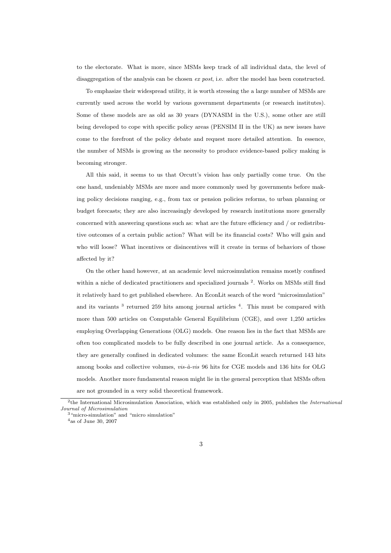to the electorate. What is more, since MSMs keep track of all individual data, the level of disaggregation of the analysis can be chosen ex post, i.e. after the model has been constructed.

To emphasize their widespread utility, it is worth stressing the a large number of MSMs are currently used across the world by various government departments (or research institutes). Some of these models are as old as 30 years (DYNASIM in the U.S.), some other are still being developed to cope with specific policy areas (PENSIM II in the UK) as new issues have come to the forefront of the policy debate and request more detailed attention. In essence, the number of MSMs is growing as the necessity to produce evidence-based policy making is becoming stronger.

All this said, it seems to us that Orcutt's vision has only partially come true. On the one hand, undeniably MSMs are more and more commonly used by governments before making policy decisions ranging, e.g., from tax or pension policies reforms, to urban planning or budget forecasts; they are also increasingly developed by research institutions more generally concerned with answering questions such as: what are the future efficiency and / or redistributive outcomes of a certain public action? What will be its financial costs? Who will gain and who will loose? What incentives or disincentives will it create in terms of behaviors of those affected by it?

On the other hand however, at an academic level microsimulation remains mostly confined within a niche of dedicated practitioners and specialized journals<sup>2</sup>. Works on MSMs still find it relatively hard to get published elsewhere. An EconLit search of the word "microsimulation" and its variants<sup>3</sup> returned 259 hits among journal articles<sup>4</sup>. This must be compared with more than 500 articles on Computable General Equilibrium (CGE), and over 1,250 articles employing Overlapping Generations (OLG) models. One reason lies in the fact that MSMs are often too complicated models to be fully described in one journal article. As a consequence, they are generally confined in dedicated volumes: the same EconLit search returned 143 hits among books and collective volumes,  $vis-\hat{a}-vis$  96 hits for CGE models and 136 hits for OLG models. Another more fundamental reason might lie in the general perception that MSMs often are not grounded in a very solid theoretical framework.

<sup>&</sup>lt;sup>2</sup>the International Microsimulation Association, which was established only in 2005, publishes the *International* Journal of Microsimulation

<sup>&</sup>lt;sup>3</sup> "micro-simulation" and "micro simulation"

<sup>4</sup>as of June 30, 2007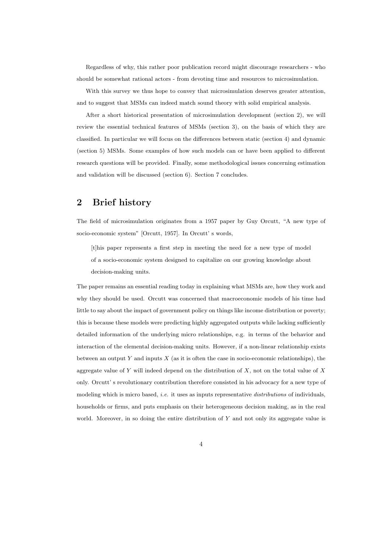Regardless of why, this rather poor publication record might discourage researchers - who should be somewhat rational actors - from devoting time and resources to microsimulation.

With this survey we thus hope to convey that microsimulation deserves greater attention, and to suggest that MSMs can indeed match sound theory with solid empirical analysis.

After a short historical presentation of microsimulation development (section 2), we will review the essential technical features of MSMs (section 3), on the basis of which they are classified. In particular we will focus on the differences between static (section 4) and dynamic (section 5) MSMs. Some examples of how such models can or have been applied to different research questions will be provided. Finally, some methodological issues concerning estimation and validation will be discussed (section 6). Section 7 concludes.

# 2 Brief history

The field of microsimulation originates from a 1957 paper by Guy Orcutt, "A new type of socio-economic system" [Orcutt, 1957]. In Orcutt' s words,

[t]his paper represents a first step in meeting the need for a new type of model of a socio-economic system designed to capitalize on our growing knowledge about decision-making units.

The paper remains an essential reading today in explaining what MSMs are, how they work and why they should be used. Orcutt was concerned that macroeconomic models of his time had little to say about the impact of government policy on things like income distribution or poverty; this is because these models were predicting highly aggregated outputs while lacking sufficiently detailed information of the underlying micro relationships, e.g. in terms of the behavior and interaction of the elemental decision-making units. However, if a non-linear relationship exists between an output  $Y$  and inputs  $X$  (as it is often the case in socio-economic relationships), the aggregate value of Y will indeed depend on the distribution of X, not on the total value of X only. Orcutt' s revolutionary contribution therefore consisted in his advocacy for a new type of modeling which is micro based, *i.e.* it uses as inputs representative *distributions* of individuals, households or firms, and puts emphasis on their heterogeneous decision making, as in the real world. Moreover, in so doing the entire distribution of  $Y$  and not only its aggregate value is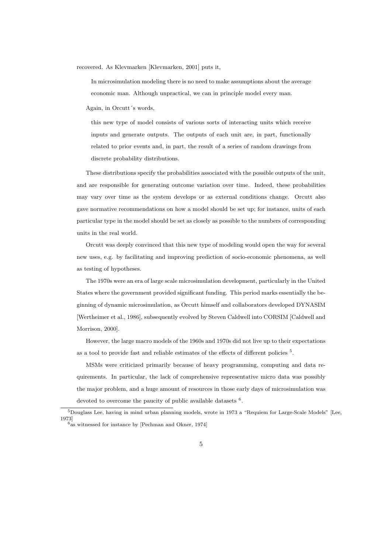recovered. As Klevmarken [Klevmarken, 2001] puts it,

In microsimulation modeling there is no need to make assumptions about the average economic man. Although unpractical, we can in principle model every man.

Again, in Orcutt´s words,

this new type of model consists of various sorts of interacting units which receive inputs and generate outputs. The outputs of each unit are, in part, functionally related to prior events and, in part, the result of a series of random drawings from discrete probability distributions.

These distributions specify the probabilities associated with the possible outputs of the unit, and are responsible for generating outcome variation over time. Indeed, these probabilities may vary over time as the system develops or as external conditions change. Orcutt also gave normative recommendations on how a model should be set up; for instance, units of each particular type in the model should be set as closely as possible to the numbers of corresponding units in the real world.

Orcutt was deeply convinced that this new type of modeling would open the way for several new uses, e.g. by facilitating and improving prediction of socio-economic phenomena, as well as testing of hypotheses.

The 1970s were an era of large scale microsimulation development, particularly in the United States where the government provided significant funding. This period marks essentially the beginning of dynamic microsimulation, as Orcutt himself and collaborators developed DYNASIM [Wertheimer et al., 1986], subsequently evolved by Steven Caldwell into CORSIM [Caldwell and Morrison, 2000].

However, the large macro models of the 1960s and 1970s did not live up to their expectations as a tool to provide fast and reliable estimates of the effects of different policies<sup>5</sup>.

MSMs were criticized primarily because of heavy programming, computing and data requirements. In particular, the lack of comprehensive representative micro data was possibly the major problem, and a huge amount of resources in those early days of microsimulation was devoted to overcome the paucity of public available datasets  $6$ .

<sup>5</sup>Douglass Lee, having in mind urban planning models, wrote in 1973 a "Requiem for Large-Scale Models" [Lee, 1973]

 $6a$ s witnessed for instance by [Pechman and Okner, 1974]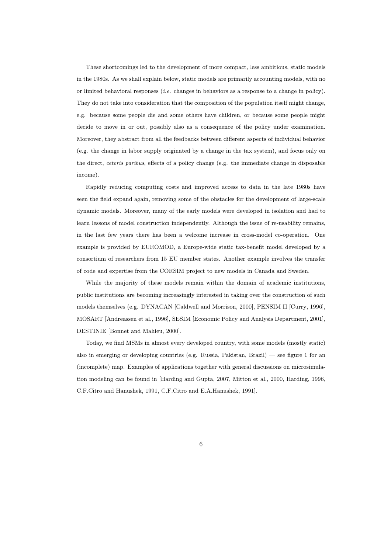These shortcomings led to the development of more compact, less ambitious, static models in the 1980s. As we shall explain below, static models are primarily accounting models, with no or limited behavioral responses (i.e. changes in behaviors as a response to a change in policy). They do not take into consideration that the composition of the population itself might change, e.g. because some people die and some others have children, or because some people might decide to move in or out, possibly also as a consequence of the policy under examination. Moreover, they abstract from all the feedbacks between different aspects of individual behavior (e.g. the change in labor supply originated by a change in the tax system), and focus only on the direct, ceteris paribus, effects of a policy change (e.g. the immediate change in disposable income).

Rapidly reducing computing costs and improved access to data in the late 1980s have seen the field expand again, removing some of the obstacles for the development of large-scale dynamic models. Moreover, many of the early models were developed in isolation and had to learn lessons of model construction independently. Although the issue of re-usability remains, in the last few years there has been a welcome increase in cross-model co-operation. One example is provided by EUROMOD, a Europe-wide static tax-benefit model developed by a consortium of researchers from 15 EU member states. Another example involves the transfer of code and expertise from the CORSIM project to new models in Canada and Sweden.

While the majority of these models remain within the domain of academic institutions, public institutions are becoming increasingly interested in taking over the construction of such models themselves (e.g. DYNACAN [Caldwell and Morrison, 2000], PENSIM II [Curry, 1996], MOSART [Andreassen et al., 1996], SESIM [Economic Policy and Analysis Department, 2001], DESTINIE [Bonnet and Mahieu, 2000].

Today, we find MSMs in almost every developed country, with some models (mostly static) also in emerging or developing countries (e.g. Russia, Pakistan, Brazil) — see figure 1 for an (incomplete) map. Examples of applications together with general discussions on microsimulation modeling can be found in [Harding and Gupta, 2007, Mitton et al., 2000, Harding, 1996, C.F.Citro and Hanushek, 1991, C.F.Citro and E.A.Hanushek, 1991].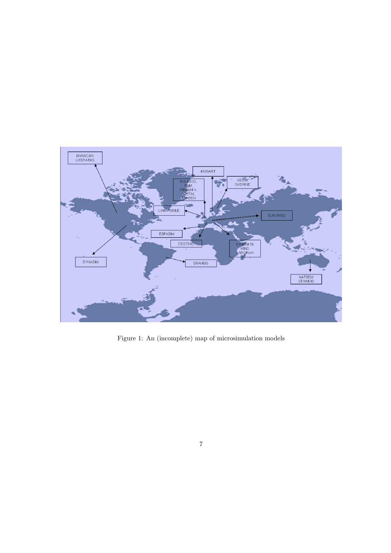

Figure 1: An (incomplete) map of microsimulation models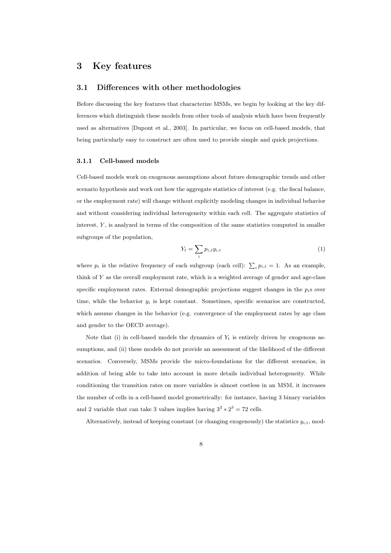# 3 Key features

### 3.1 Differences with other methodologies

Before discussing the key features that characterize MSMs, we begin by looking at the key differences which distinguish these models from other tools of analysis which have been frequently used as alternatives [Dupont et al., 2003]. In particular, we focus on cell-based models, that being particularly easy to construct are often used to provide simple and quick projections.

#### 3.1.1 Cell-based models

Cell-based models work on exogenous assumptions about future demographic trends and other scenario hypothesis and work out how the aggregate statistics of interest (e.g. the fiscal balance, or the employment rate) will change without explicitly modeling changes in individual behavior and without considering individual heterogeneity within each cell. The aggregate statistics of interest, Y , is analyzed in terms of the composition of the same statistics computed in smaller subgroups of the population,

$$
Y_t = \sum_i p_{i,t} y_{i,t} \tag{1}
$$

where  $p_i$  is the relative frequency of each subgroup (each cell):  $\sum_i p_{i,t} = 1$ . As an example, think of Y as the overall employment rate, which is a weighted average of gender and age-class specific employment rates. External demographic projections suggest changes in the  $p_i$ s over time, while the behavior  $y_i$  is kept constant. Sometimes, specific scenarios are constructed, which assume changes in the behavior (e.g. convergence of the employment rates by age class and gender to the OECD average).

Note that (i) in cell-based models the dynamics of  $Y_t$  is entirely driven by exogenous assumptions, and (ii) these models do not provide an assessment of the likelihood of the different scenarios. Conversely, MSMs provide the micro-foundations for the different scenarios, in addition of being able to take into account in more details individual heterogeneity. While conditioning the transition rates on more variables is almost costless in an MSM, it increases the number of cells in a cell-based model geometrically: for instance, having 3 binary variables and 2 variable that can take 3 values implies having  $3^2 \times 2^3 = 72$  cells.

Alternatively, instead of keeping constant (or changing exogenously) the statistics  $y_{i,t}$ , mod-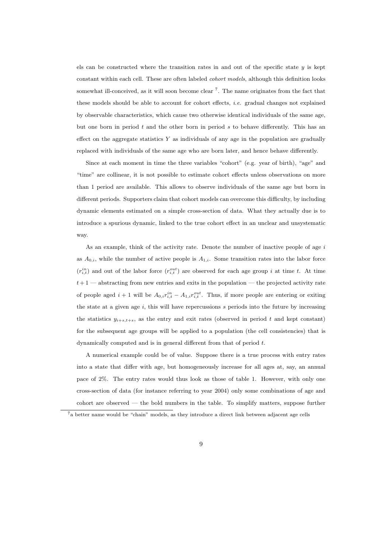els can be constructed where the transition rates in and out of the specific state  $y$  is kept constant within each cell. These are often labeled cohort models, although this definition looks somewhat ill-conceived, as it will soon become clear  $7$ . The name originates from the fact that these models should be able to account for cohort effects, *i.e.* gradual changes not explained by observable characteristics, which cause two otherwise identical individuals of the same age, but one born in period  $t$  and the other born in period  $s$  to behave differently. This has an effect on the aggregate statistics  $Y$  as individuals of any age in the population are gradually replaced with individuals of the same age who are born later, and hence behave differently.

Since at each moment in time the three variables "cohort" (e.g. year of birth), "age" and "time" are collinear, it is not possible to estimate cohort effects unless observations on more than 1 period are available. This allows to observe individuals of the same age but born in different periods. Supporters claim that cohort models can overcome this difficulty, by including dynamic elements estimated on a simple cross-section of data. What they actually due is to introduce a spurious dynamic, linked to the true cohort effect in an unclear and unsystematic way.

As an example, think of the activity rate. Denote the number of inactive people of age  $i$ as  $A_{0,i}$ , while the number of active people is  $A_{1,i}$ . Some transition rates into the labor force  $(r_{i,t}^{in})$  and out of the labor force  $(r_{i,t}^{out})$  are observed for each age group i at time t. At time  $t+1$  — abstracting from new entries and exits in the population — the projected activity rate of people aged  $i+1$  will be  $A_{0,i}r_{i,t}^{in} - A_{1,i}r_{i,t}^{out}$ . Thus, if more people are entering or exiting the state at a given age  $i$ , this will have repercussions  $s$  periods into the future by increasing the statistics  $y_{i+s,t+s}$ , as the entry and exit rates (observed in period t and kept constant) for the subsequent age groups will be applied to a population (the cell consistencies) that is dynamically computed and is in general different from that of period t.

A numerical example could be of value. Suppose there is a true process with entry rates into a state that differ with age, but homogeneously increase for all ages at, say, an annual pace of 2%. The entry rates would thus look as those of table 1. However, with only one cross-section of data (for instance referring to year 2004) only some combinations of age and cohort are observed — the bold numbers in the table. To simplify matters, suppose further

<sup>7</sup>a better name would be "chain" models, as they introduce a direct link between adjacent age cells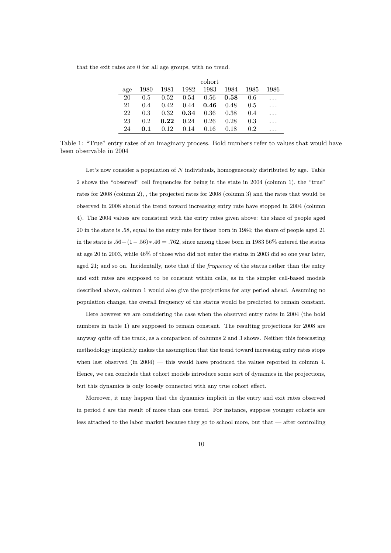that the exit rates are 0 for all age groups, with no trend.

|     | cohort |                   |      |                                                               |      |               |       |  |  |
|-----|--------|-------------------|------|---------------------------------------------------------------|------|---------------|-------|--|--|
| age |        |                   |      | $1980 \quad 1981 \quad 1982 \quad 1983 \quad 1984 \quad 1985$ |      |               | -1986 |  |  |
| 20  | 0.5    |                   |      | $0.52$ $0.54$ $0.56$ $0.58$                                   |      | 0.6           |       |  |  |
| 21  | 0.4    | 0.42              |      | $0.44$ $0.46$ $0.48$                                          |      | 0.5           |       |  |  |
| 22  | 0.3    |                   |      | $0.32$ $0.34$ $0.36$ $0.38$                                   |      | 0.4           |       |  |  |
| 23  | 0.2    | $0.22 \quad 0.24$ |      | 0.26                                                          | 0.28 | 0.3           |       |  |  |
| 24  | 0.1    | 0.12              | 0.14 | 0.16                                                          | 0.18 | $0.2^{\circ}$ |       |  |  |

Table 1: "True" entry rates of an imaginary process. Bold numbers refer to values that would have been observable in 2004

Let's now consider a population of  $N$  individuals, homogeneously distributed by age. Table 2 shows the "observed" cell frequencies for being in the state in 2004 (column 1), the "true" rates for 2008 (column 2), , the projected rates for 2008 (column 3) and the rates that would be observed in 2008 should the trend toward increasing entry rate have stopped in 2004 (column 4). The 2004 values are consistent with the entry rates given above: the share of people aged 20 in the state is .58, equal to the entry rate for those born in 1984; the share of people aged 21 in the state is  $.56+(1-.56)*(.46=.762)$ , since among those born in 1983 56% entered the status at age 20 in 2003, while 46% of those who did not enter the status in 2003 did so one year later, aged 21; and so on. Incidentally, note that if the *frequency* of the status rather than the entry and exit rates are supposed to be constant within cells, as in the simpler cell-based models described above, column 1 would also give the projections for any period ahead. Assuming no population change, the overall frequency of the status would be predicted to remain constant.

Here however we are considering the case when the observed entry rates in 2004 (the bold numbers in table 1) are supposed to remain constant. The resulting projections for 2008 are anyway quite off the track, as a comparison of columns 2 and 3 shows. Neither this forecasting methodology implicitly makes the assumption that the trend toward increasing entry rates stops when last observed (in  $2004$ ) — this would have produced the values reported in column 4. Hence, we can conclude that cohort models introduce some sort of dynamics in the projections, but this dynamics is only loosely connected with any true cohort effect.

Moreover, it may happen that the dynamics implicit in the entry and exit rates observed in period  $t$  are the result of more than one trend. For instance, suppose younger cohorts are less attached to the labor market because they go to school more, but that — after controlling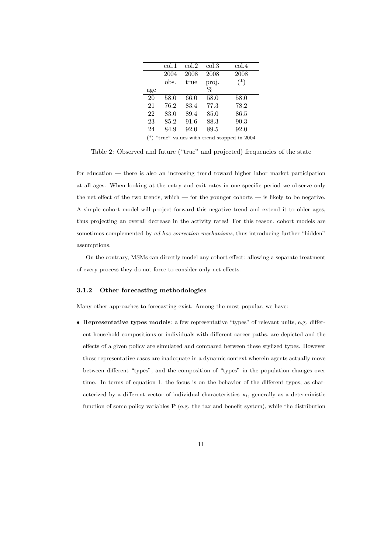|                                                                    | col.1 | col.2 | $\mathrm{col.3}$ | $\mathrm{col.4}$ |  |  |  |
|--------------------------------------------------------------------|-------|-------|------------------|------------------|--|--|--|
|                                                                    | 2004  | 2008  | 2008             | 2008             |  |  |  |
|                                                                    | obs.  | true  | proj.            | $(*)$            |  |  |  |
| age                                                                |       |       | $\%$             |                  |  |  |  |
| 20                                                                 | 58.0  | 66.0  | 58.0             | 58.0             |  |  |  |
| 21                                                                 | 76.2  | 83.4  | 77.3             | 78.2             |  |  |  |
| 22                                                                 | 83.0  | 89.4  | 85.0             | 86.5             |  |  |  |
| 23                                                                 | 85.2  | 91.6  | 88.3             | 90.3             |  |  |  |
| 24                                                                 | 84.9  | 92.0  | 89.5             | 92.0             |  |  |  |
| $(\ast)$<br>64mers <sup>9</sup> andreas mith tuand standed in 9004 |       |       |                  |                  |  |  |  |

(\*) "true" values with trend stopped in 2004

Table 2: Observed and future ("true" and projected) frequencies of the state

for education — there is also an increasing trend toward higher labor market participation at all ages. When looking at the entry and exit rates in one specific period we observe only the net effect of the two trends, which — for the younger cohorts — is likely to be negative. A simple cohort model will project forward this negative trend and extend it to older ages, thus projecting an overall decrease in the activity rates! For this reason, cohort models are sometimes complemented by ad hoc correction mechanisms, thus introducing further "hidden" assumptions.

On the contrary, MSMs can directly model any cohort effect: allowing a separate treatment of every process they do not force to consider only net effects.

### 3.1.2 Other forecasting methodologies

Many other approaches to forecasting exist. Among the most popular, we have:

• Representative types models: a few representative "types" of relevant units, e.g. different household compositions or individuals with different career paths, are depicted and the effects of a given policy are simulated and compared between these stylized types. However these representative cases are inadequate in a dynamic context wherein agents actually move between different "types", and the composition of "types" in the population changes over time. In terms of equation 1, the focus is on the behavior of the different types, as characterized by a different vector of individual characteristics  $x_i$ , generally as a deterministic function of some policy variables  $P$  (e.g. the tax and benefit system), while the distribution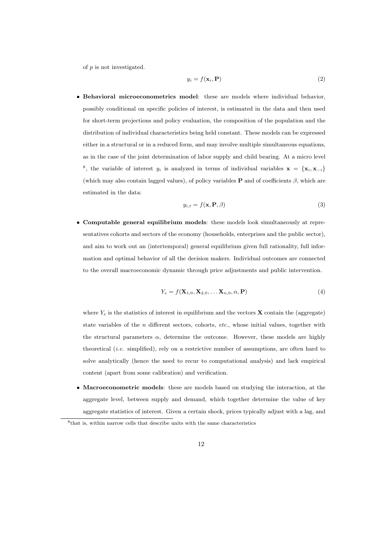of  $p$  is not investigated.

$$
y_i = f(\mathbf{x}_i, \mathbf{P})
$$
\n<sup>(2)</sup>

• Behavioral microeconometrics model: these are models where individual behavior, possibly conditional on specific policies of interest, is estimated in the data and then used for short-term projections and policy evaluation, the composition of the population and the distribution of individual characteristics being held constant. These models can be expressed either in a structural or in a reduced form, and may involve multiple simultaneous equations, as in the case of the joint determination of labor supply and child bearing. At a micro level <sup>8</sup>, the variable of interest y<sub>i</sub> is analyzed in terms of individual variables  $\mathbf{x} = {\mathbf{x}_i, \mathbf{x}_{-i}}$ (which may also contain lagged values), of policy variables **P** and of coefficients  $\beta$ , which are estimated in the data:

$$
y_{i,t} = f(\mathbf{x}, \mathbf{P}, \beta) \tag{3}
$$

• Computable general equilibrium models: these models look simultaneously at representatives cohorts and sectors of the economy (households, enterprises and the public sector), and aim to work out an (intertemporal) general equilibrium given full rationality, full information and optimal behavior of all the decision makers. Individual outcomes are connected to the overall macroeconomic dynamic through price adjustments and public intervention.

$$
Y_e = f(\mathbf{X}_{1,0}, \mathbf{X}_{2,0}, \dots, \mathbf{X}_{n,0}, \alpha, \mathbf{P})
$$
\n<sup>(4)</sup>

where  $Y_e$  is the statistics of interest in equilibrium and the vectors **X** contain the (aggregate) state variables of the  $n$  different sectors, cohorts, etc., whose initial values, together with the structural parameters  $\alpha$ , determine the outcome. However, these models are highly theoretical  $(i.e.$  simplified), rely on a restrictive number of assumptions, are often hard to solve analytically (hence the need to recur to computational analysis) and lack empirical content (apart from some calibration) and verification.

• Macroeconometric models: these are models based on studying the interaction, at the aggregate level, between supply and demand, which together determine the value of key aggregate statistics of interest. Given a certain shock, prices typically adjust with a lag, and

<sup>8</sup> that is, within narrow cells that describe units with the same characteristics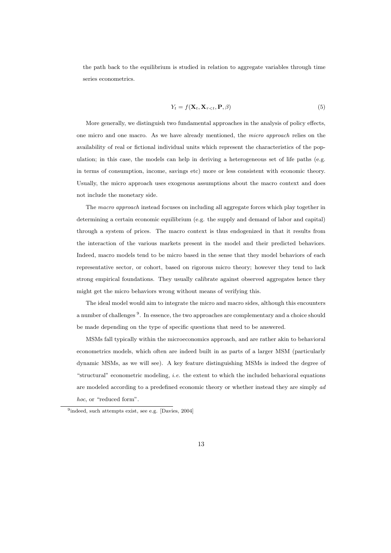the path back to the equilibrium is studied in relation to aggregate variables through time series econometrics.

$$
Y_t = f(\mathbf{X}_t, \mathbf{X}_{\tau < t}, \mathbf{P}, \beta) \tag{5}
$$

More generally, we distinguish two fundamental approaches in the analysis of policy effects, one micro and one macro. As we have already mentioned, the micro approach relies on the availability of real or fictional individual units which represent the characteristics of the population; in this case, the models can help in deriving a heterogeneous set of life paths (e.g. in terms of consumption, income, savings etc) more or less consistent with economic theory. Usually, the micro approach uses exogenous assumptions about the macro context and does not include the monetary side.

The macro approach instead focuses on including all aggregate forces which play together in determining a certain economic equilibrium (e.g. the supply and demand of labor and capital) through a system of prices. The macro context is thus endogenized in that it results from the interaction of the various markets present in the model and their predicted behaviors. Indeed, macro models tend to be micro based in the sense that they model behaviors of each representative sector, or cohort, based on rigorous micro theory; however they tend to lack strong empirical foundations. They usually calibrate against observed aggregates hence they might get the micro behaviors wrong without means of verifying this.

The ideal model would aim to integrate the micro and macro sides, although this encounters a number of challenges <sup>9</sup>. In essence, the two approaches are complementary and a choice should be made depending on the type of specific questions that need to be answered.

MSMs fall typically within the microeconomics approach, and are rather akin to behavioral econometrics models, which often are indeed built in as parts of a larger MSM (particularly dynamic MSMs, as we will see). A key feature distinguishing MSMs is indeed the degree of "structural" econometric modeling, *i.e.* the extent to which the included behavioral equations are modeled according to a predefined economic theory or whether instead they are simply ad hoc, or "reduced form".

<sup>&</sup>lt;sup>9</sup>indeed, such attempts exist, see e.g. [Davies, 2004]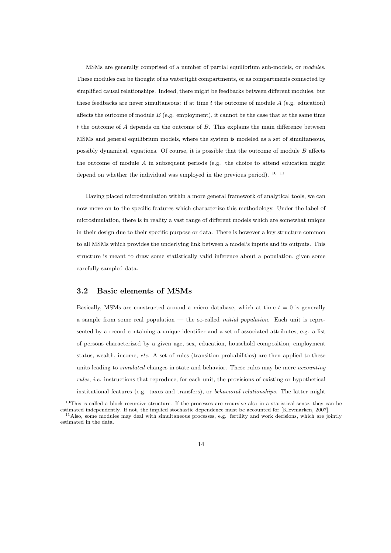MSMs are generally comprised of a number of partial equilibrium sub-models, or modules. These modules can be thought of as watertight compartments, or as compartments connected by simplified causal relationships. Indeed, there might be feedbacks between different modules, but these feedbacks are never simultaneous: if at time  $t$  the outcome of module  $A$  (e.g. education) affects the outcome of module  $B$  (e.g. employment), it cannot be the case that at the same time t the outcome of  $A$  depends on the outcome of  $B$ . This explains the main difference between MSMs and general equilibrium models, where the system is modeled as a set of simultaneous, possibly dynamical, equations. Of course, it is possible that the outcome of module  $B$  affects the outcome of module  $A$  in subsequent periods (e.g. the choice to attend education might depend on whether the individual was employed in the previous period).  $^{10}$   $^{11}$ 

Having placed microsimulation within a more general framework of analytical tools, we can now move on to the specific features which characterize this methodology. Under the label of microsimulation, there is in reality a vast range of different models which are somewhat unique in their design due to their specific purpose or data. There is however a key structure common to all MSMs which provides the underlying link between a model's inputs and its outputs. This structure is meant to draw some statistically valid inference about a population, given some carefully sampled data.

### 3.2 Basic elements of MSMs

Basically, MSMs are constructed around a micro database, which at time  $t = 0$  is generally a sample from some real population — the so-called initial population. Each unit is represented by a record containing a unique identifier and a set of associated attributes, e.g. a list of persons characterized by a given age, sex, education, household composition, employment status, wealth, income, etc. A set of rules (transition probabilities) are then applied to these units leading to *simulated* changes in state and behavior. These rules may be mere *accounting* rules, i.e. instructions that reproduce, for each unit, the provisions of existing or hypothetical institutional features (e.g. taxes and transfers), or behavioral relationships. The latter might

<sup>10</sup>This is called a block recursive structure. If the processes are recursive also in a statistical sense, they can be estimated independently. If not, the implied stochastic dependence must be accounted for [Klevmarken, 2007]. <sup>11</sup>Also, some modules may deal with simultaneous processes, e.g. fertility and work decisions, which are jointly estimated in the data.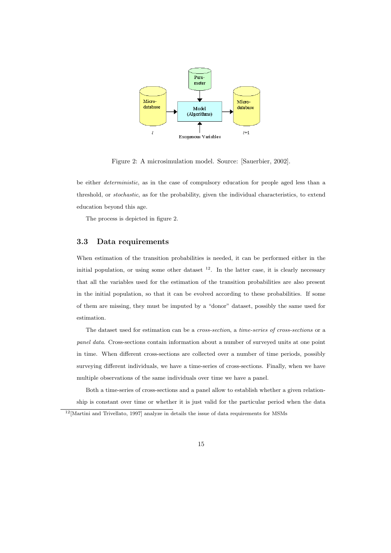

Figure 2: A microsimulation model. Source: [Sauerbier, 2002].

be either deterministic, as in the case of compulsory education for people aged less than a threshold, or stochastic, as for the probability, given the individual characteristics, to extend education beyond this age.

The process is depicted in figure 2.

### 3.3 Data requirements

When estimation of the transition probabilities is needed, it can be performed either in the initial population, or using some other dataset  $^{12}$ . In the latter case, it is clearly necessary that all the variables used for the estimation of the transition probabilities are also present in the initial population, so that it can be evolved according to these probabilities. If some of them are missing, they must be imputed by a "donor" dataset, possibly the same used for estimation.

The dataset used for estimation can be a cross-section, a time-series of cross-sections or a panel data. Cross-sections contain information about a number of surveyed units at one point in time. When different cross-sections are collected over a number of time periods, possibly surveying different individuals, we have a time-series of cross-sections. Finally, when we have multiple observations of the same individuals over time we have a panel.

Both a time-series of cross-sections and a panel allow to establish whether a given relationship is constant over time or whether it is just valid for the particular period when the data

 $12$ [Martini and Trivellato, 1997] analyze in details the issue of data requirements for MSMs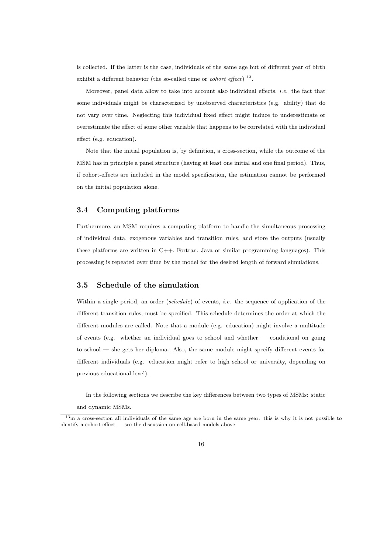is collected. If the latter is the case, individuals of the same age but of different year of birth exhibit a different behavior (the so-called time or *cohort effect*)  $^{13}$ .

Moreover, panel data allow to take into account also individual effects, i.e. the fact that some individuals might be characterized by unobserved characteristics (e.g. ability) that do not vary over time. Neglecting this individual fixed effect might induce to underestimate or overestimate the effect of some other variable that happens to be correlated with the individual effect (e.g. education).

Note that the initial population is, by definition, a cross-section, while the outcome of the MSM has in principle a panel structure (having at least one initial and one final period). Thus, if cohort-effects are included in the model specification, the estimation cannot be performed on the initial population alone.

### 3.4 Computing platforms

Furthermore, an MSM requires a computing platform to handle the simultaneous processing of individual data, exogenous variables and transition rules, and store the outputs (usually these platforms are written in  $C_{++}$ , Fortran, Java or similar programming languages). This processing is repeated over time by the model for the desired length of forward simulations.

### 3.5 Schedule of the simulation

Within a single period, an order (schedule) of events, i.e. the sequence of application of the different transition rules, must be specified. This schedule determines the order at which the different modules are called. Note that a module (e.g. education) might involve a multitude of events (e.g. whether an individual goes to school and whether — conditional on going to school — she gets her diploma. Also, the same module might specify different events for different individuals (e.g. education might refer to high school or university, depending on previous educational level).

In the following sections we describe the key differences between two types of MSMs: static

and dynamic MSMs.

 $13$ in a cross-section all individuals of the same age are born in the same year: this is why it is not possible to identify a cohort effect — see the discussion on cell-based models above

<sup>16</sup>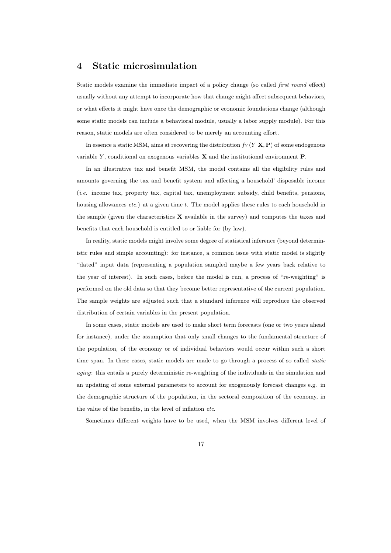## 4 Static microsimulation

Static models examine the immediate impact of a policy change (so called first round effect) usually without any attempt to incorporate how that change might affect subsequent behaviors, or what effects it might have once the demographic or economic foundations change (although some static models can include a behavioral module, usually a labor supply module). For this reason, static models are often considered to be merely an accounting effort.

In essence a static MSM, aims at recovering the distribution  $f_Y(Y|\mathbf{X}, \mathbf{P})$  of some endogenous variable Y, conditional on exogenous variables  $X$  and the institutional environment  $P$ .

In an illustrative tax and benefit MSM, the model contains all the eligibility rules and amounts governing the tax and benefit system and affecting a household' disposable income (i.e. income tax, property tax, capital tax, unemployment subsidy, child benefits, pensions, housing allowances *etc.*) at a given time t. The model applies these rules to each household in the sample (given the characteristics  $X$  available in the survey) and computes the taxes and benefits that each household is entitled to or liable for (by law).

In reality, static models might involve some degree of statistical inference (beyond deterministic rules and simple accounting): for instance, a common issue with static model is slightly "dated" input data (representing a population sampled maybe a few years back relative to the year of interest). In such cases, before the model is run, a process of "re-weighting" is performed on the old data so that they become better representative of the current population. The sample weights are adjusted such that a standard inference will reproduce the observed distribution of certain variables in the present population.

In some cases, static models are used to make short term forecasts (one or two years ahead for instance), under the assumption that only small changes to the fundamental structure of the population, of the economy or of individual behaviors would occur within such a short time span. In these cases, static models are made to go through a process of so called *static* aging: this entails a purely deterministic re-weighting of the individuals in the simulation and an updating of some external parameters to account for exogenously forecast changes e.g. in the demographic structure of the population, in the sectoral composition of the economy, in the value of the benefits, in the level of inflation etc.

Sometimes different weights have to be used, when the MSM involves different level of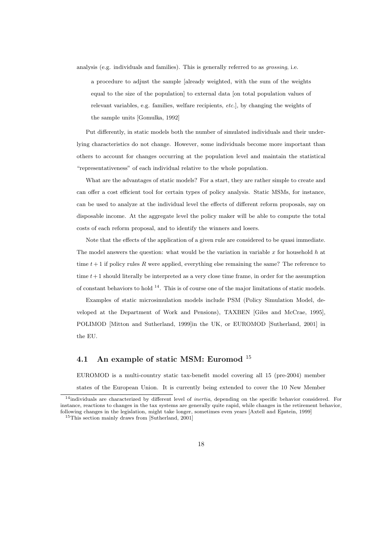analysis (e.g. individuals and families). This is generally referred to as grossing, i.e.

a procedure to adjust the sample [already weighted, with the sum of the weights equal to the size of the population] to external data [on total population values of relevant variables, e.g. families, welfare recipients, etc.], by changing the weights of the sample units [Gomulka, 1992]

Put differently, in static models both the number of simulated individuals and their underlying characteristics do not change. However, some individuals become more important than others to account for changes occurring at the population level and maintain the statistical "representativeness" of each individual relative to the whole population.

What are the advantages of static models? For a start, they are rather simple to create and can offer a cost efficient tool for certain types of policy analysis. Static MSMs, for instance, can be used to analyze at the individual level the effects of different reform proposals, say on disposable income. At the aggregate level the policy maker will be able to compute the total costs of each reform proposal, and to identify the winners and losers.

Note that the effects of the application of a given rule are considered to be quasi immediate. The model answers the question: what would be the variation in variable  $x$  for household  $h$  at time  $t + 1$  if policy rules R were applied, everything else remaining the same? The reference to time  $t+1$  should literally be interpreted as a very close time frame, in order for the assumption of constant behaviors to hold  $^{14}$ . This is of course one of the major limitations of static models.

Examples of static microsimulation models include PSM (Policy Simulation Model, developed at the Department of Work and Pensions), TAXBEN [Giles and McCrae, 1995], POLIMOD [Mitton and Sutherland, 1999]in the UK, or EUROMOD [Sutherland, 2001] in the EU.

## 4.1 An example of static MSM: Euromod  $^{15}$

EUROMOD is a multi-country static tax-benefit model covering all 15 (pre-2004) member

states of the European Union. It is currently being extended to cover the 10 New Member

 $14$ individuals are characterized by different level of *inertia*, depending on the specific behavior considered. For instance, reactions to changes in the tax systems are generally quite rapid, while changes in the retirement behavior, following changes in the legislation, might take longer, sometimes even years [Axtell and Epstein, 1999] <sup>15</sup>This section mainly draws from [Sutherland, 2001]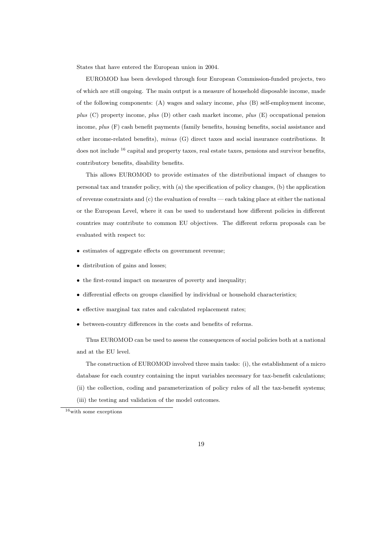States that have entered the European union in 2004.

EUROMOD has been developed through four European Commission-funded projects, two of which are still ongoing. The main output is a measure of household disposable income, made of the following components:  $(A)$  wages and salary income,  $plus$   $(B)$  self-employment income, plus (C) property income, plus (D) other cash market income, plus (E) occupational pension income, plus (F) cash benefit payments (family benefits, housing benefits, social assistance and other income-related benefits), minus (G) direct taxes and social insurance contributions. It does not include  $16$  capital and property taxes, real estate taxes, pensions and survivor benefits, contributory benefits, disability benefits.

This allows EUROMOD to provide estimates of the distributional impact of changes to personal tax and transfer policy, with (a) the specification of policy changes, (b) the application of revenue constraints and (c) the evaluation of results — each taking place at either the national or the European Level, where it can be used to understand how different policies in different countries may contribute to common EU objectives. The different reform proposals can be evaluated with respect to:

- estimates of aggregate effects on government revenue:
- distribution of gains and losses;
- the first-round impact on measures of poverty and inequality;
- differential effects on groups classified by individual or household characteristics;
- effective marginal tax rates and calculated replacement rates;
- between-country differences in the costs and benefits of reforms.

Thus EUROMOD can be used to assess the consequences of social policies both at a national and at the EU level.

The construction of EUROMOD involved three main tasks: (i), the establishment of a micro database for each country containing the input variables necessary for tax-benefit calculations;

- (ii) the collection, coding and parameterization of policy rules of all the tax-benefit systems;
- (iii) the testing and validation of the model outcomes.



 $^{16}\rm{with}$  some exceptions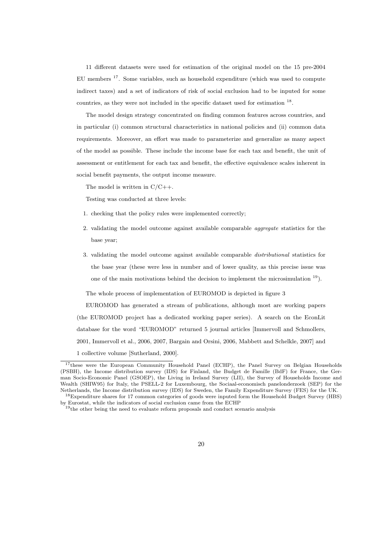11 different datasets were used for estimation of the original model on the 15 pre-2004 EU members <sup>17</sup>. Some variables, such as household expenditure (which was used to compute indirect taxes) and a set of indicators of risk of social exclusion had to be inputed for some countries, as they were not included in the specific dataset used for estimation <sup>18</sup>.

The model design strategy concentrated on finding common features across countries, and in particular (i) common structural characteristics in national policies and (ii) common data requirements. Moreover, an effort was made to parameterize and generalize as many aspect of the model as possible. These include the income base for each tax and benefit, the unit of assessment or entitlement for each tax and benefit, the effective equivalence scales inherent in social benefit payments, the output income measure.

The model is written in  $C/C++$ .

Testing was conducted at three levels:

- 1. checking that the policy rules were implemented correctly;
- 2. validating the model outcome against available comparable aggregate statistics for the base year;
- 3. validating the model outcome against available comparable distributional statistics for the base year (these were less in number and of lower quality, as this precise issue was one of the main motivations behind the decision to implement the microsimulation <sup>19</sup>).

The whole process of implementation of EUROMOD is depicted in figure 3

EUROMOD has generated a stream of publications, although most are working papers (the EUROMOD project has a dedicated working paper series). A search on the EconLit database for the word "EUROMOD" returned 5 journal articles [Immervoll and Schmollers, 2001, Immervoll et al., 2006, 2007, Bargain and Orsini, 2006, Mabbett and Schelkle, 2007] and 1 collective volume [Sutherland, 2000].

<sup>&</sup>lt;sup>17</sup>these were the European Community Household Panel (ECHP), the Panel Survey on Belgian Households (PSBH), the Income distribution survey (IDS) for Finland, the Budget de Famille (BdF) for France, the German Socio-Economic Panel (GSOEP), the Living in Ireland Survey (LII), the Survey of Households Income and Wealth (SHIW95) for Italy, the PSELL-2 for Luxembourg, the Sociaal-economisch panelonderzoek (SEP) for the Netherlands, the Income distribution survey (IDS) for Sweden, the Family Expenditure Survey (FES) for the UK.

<sup>18</sup>Expenditure shares for 17 common categories of goods were inputed form the Household Budget Survey (HBS) by Eurostat, while the indicators of social exclusion came from the ECHP<br><sup>19</sup>the other being the need to evaluate reform proposals and conduct scenario analysis

<sup>20</sup>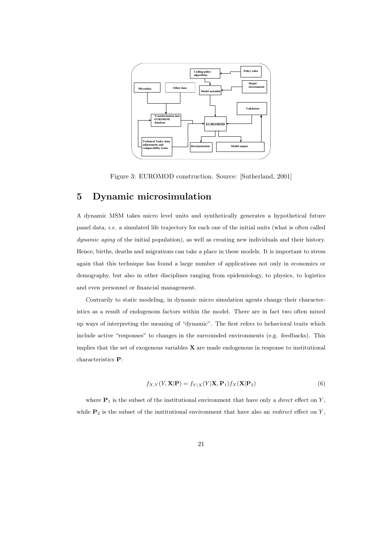

Figure 3: EUROMOD construction. Source: [Sutherland, 2001]

# 5 Dynamic microsimulation

A dynamic MSM takes micro level units and synthetically generates a hypothetical future panel data, i.e. a simulated life trajectory for each one of the initial units (what is often called dynamic aging of the initial population), as well as creating new individuals and their history. Hence, births, deaths and migrations can take a place in these models. It is important to stress again that this technique has found a large number of applications not only in economics or demography, but also in other disciplines ranging from epidemiology, to physics, to logistics and even personnel or financial management.

Contrarily to static modeling, in dynamic micro simulation agents change their characteristics as a result of endogenous factors within the model. There are in fact two often mixed up ways of interpreting the meaning of "dynamic". The first refers to behavioral traits which include active "responses" to changes in the surrounded environments (e.g. feedbacks). This implies that the set of exogenous variables  $X$  are made endogenous in response to institutional characteristics P:

$$
f_{X,Y}(Y,\mathbf{X}|\mathbf{P}) = f_{Y|X}(Y|\mathbf{X},\mathbf{P}_1)f_X(\mathbf{X}|\mathbf{P}_2)
$$
\n(6)

where  $P_1$  is the subset of the institutional environment that have only a *direct* effect on Y, while  $P_2$  is the subset of the institutional environment that have also an *indirect* effect on Y,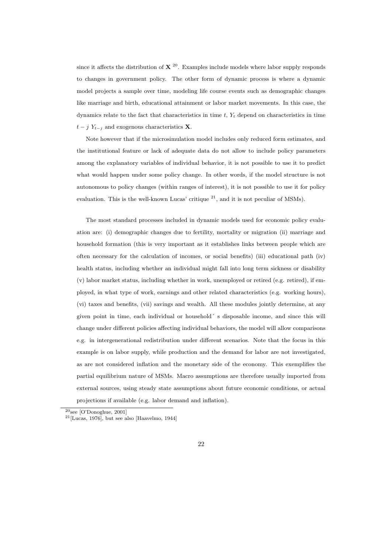since it affects the distribution of  $X^{20}$ . Examples include models where labor supply responds to changes in government policy. The other form of dynamic process is where a dynamic model projects a sample over time, modeling life course events such as demographic changes like marriage and birth, educational attainment or labor market movements. In this case, the dynamics relate to the fact that characteristics in time  $t, Y_t$  depend on characteristics in time  $t - j Y_{t-i}$  and exogenous characteristics **X**.

Note however that if the microsimulation model includes only reduced form estimates, and the institutional feature or lack of adequate data do not allow to include policy parameters among the explanatory variables of individual behavior, it is not possible to use it to predict what would happen under some policy change. In other words, if the model structure is not autonomous to policy changes (within ranges of interest), it is not possible to use it for policy evaluation. This is the well-known Lucas' critique  $^{21}$ , and it is not peculiar of MSMs).

The most standard processes included in dynamic models used for economic policy evaluation are: (i) demographic changes due to fertility, mortality or migration (ii) marriage and household formation (this is very important as it establishes links between people which are often necessary for the calculation of incomes, or social benefits) (iii) educational path (iv) health status, including whether an individual might fall into long term sickness or disability (v) labor market status, including whether in work, unemployed or retired (e.g. retired), if employed, in what type of work, earnings and other related characteristics (e.g. working hours), (vi) taxes and benefits, (vii) savings and wealth. All these modules jointly determine, at any given point in time, each individual or household´ s disposable income, and since this will change under different policies affecting individual behaviors, the model will allow comparisons e.g. in intergenerational redistribution under different scenarios. Note that the focus in this example is on labor supply, while production and the demand for labor are not investigated, as are not considered inflation and the monetary side of the economy. This exemplifies the partial equilibrium nature of MSMs. Macro assumptions are therefore usually imported from external sources, using steady state assumptions about future economic conditions, or actual projections if available (e.g. labor demand and inflation).

 $20$ <sub>see</sub> [O'Donoghue, 2001]

 $21$ [Lucas, 1976], but see also [Haavelmo, 1944]

<sup>22</sup>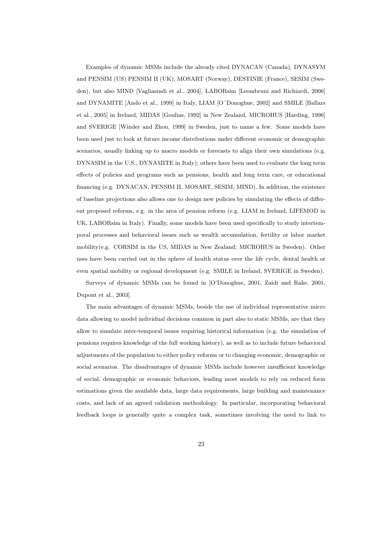Examples of dynamic MSMs include the already cited DYNACAN (Canada), DYNASYM and PENSIM (US) PENSIM II (UK), MOSART (Norway), DESTINIE (France), SESIM (Sweden), but also MIND [Vagliasindi et al., 2004], LABORsim [Leombruni and Richiardi, 2006] and DYNAMITE [Ando et al., 1999] in Italy, LIAM [O´Donoghue, 2002] and SMILE [Ballars et al., 2005] in Ireland, MIDAS [Goulias, 1992] in New Zealand, MICROHUS [Harding, 1996] and SVERIGE [Winder and Zhou, 1999] in Sweden, just to name a few. Some models have been used just to look at future income distributions under different economic or demographic scenarios, usually linking up to macro models or forecasts to align their own simulations (e.g. DYNASIM in the U.S., DYNAMITE in Italy); others have been used to evaluate the long term effects of policies and programs such as pensions, health and long term care, or educational financing (e.g. DYNACAN, PENSIM II, MOSART, SESIM, MIND). In addition, the existence of baseline projections also allows one to design new policies by simulating the effects of different proposed reforms, e.g. in the area of pension reform (e.g. LIAM in Ireland, LIFEMOD in UK, LABORsim in Italy). Finally, some models have been used specifically to study intertemporal processes and behavioral issues such as wealth accumulation, fertility or labor market mobility(e.g. CORSIM in the US, MIDAS in New Zealand; MICROHUS in Sweden). Other uses have been carried out in the sphere of health status over the life cycle, dental health or even spatial mobility or regional development (e.g. SMILE in Ireland, SVERIGE in Sweden).

Surveys of dynamic MSMs can be found in [O'Donoghue, 2001, Zaidi and Rake, 2001, Dupont et al., 2003].

The main advantages of dynamic MSMs, beside the use of individual representative micro data allowing to model individual decisions common in part also to static MSMs, are that they allow to simulate inter-temporal issues requiring historical information (e.g. the simulation of pensions requires knowledge of the full working history), as well as to include future behavioral adjustments of the population to either policy reforms or to changing economic, demographic or social scenarios. The disadvantages of dynamic MSMs include however insufficient knowledge of social, demographic or economic behaviors, leading most models to rely on reduced form estimations given the available data, large data requirements, large building and maintenance costs, and lack of an agreed validation methodology. In particular, incorporating behavioral feedback loops is generally quite a complex task, sometimes involving the need to link to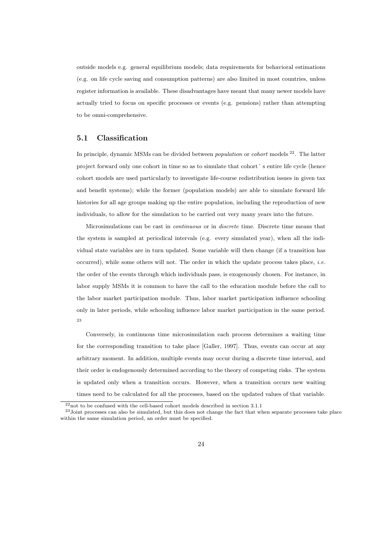outside models e.g. general equilibrium models; data requirements for behavioral estimations (e.g. on life cycle saving and consumption patterns) are also limited in most countries, unless register information is available. These disadvantages have meant that many newer models have actually tried to focus on specific processes or events (e.g. pensions) rather than attempting to be omni-comprehensive.

### 5.1 Classification

In principle, dynamic MSMs can be divided between *population* or *cohort* models  $2^2$ . The latter project forward only one cohort in time so as to simulate that cohort´ s entire life cycle (hence cohort models are used particularly to investigate life-course redistribution issues in given tax and benefit systems); while the former (population models) are able to simulate forward life histories for all age groups making up the entire population, including the reproduction of new individuals, to allow for the simulation to be carried out very many years into the future.

Microsimulations can be cast in continuous or in discrete time. Discrete time means that the system is sampled at periodical intervals (e.g. every simulated year), when all the individual state variables are in turn updated. Some variable will then change (if a transition has occurred), while some others will not. The order in which the update process takes place, i.e. the order of the events through which individuals pass, is exogenously chosen. For instance, in labor supply MSMs it is common to have the call to the education module before the call to the labor market participation module. Thus, labor market participation influence schooling only in later periods, while schooling influence labor market participation in the same period. 23

Conversely, in continuous time microsimulation each process determines a waiting time for the corresponding transition to take place [Galler, 1997]. Thus, events can occur at any arbitrary moment. In addition, multiple events may occur during a discrete time interval, and their order is endogenously determined according to the theory of competing risks. The system is updated only when a transition occurs. However, when a transition occurs new waiting times need to be calculated for all the processes, based on the updated values of that variable.

 $^{22}\rm{not}$  to be confused with the cell-based cohort models described in section  $3.1.1$ 

 $^{23}$ Joint processes can also be simulated, but this does not change the fact that when separate processes take place within the same simulation period, an order must be specified.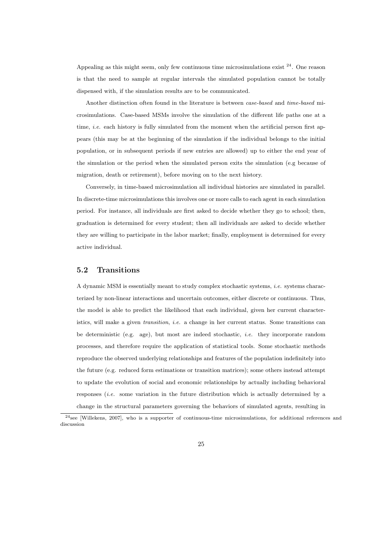Appealing as this might seem, only few continuous time microsimulations exist <sup>24</sup>. One reason is that the need to sample at regular intervals the simulated population cannot be totally dispensed with, if the simulation results are to be communicated.

Another distinction often found in the literature is between case-based and time-based microsimulations. Case-based MSMs involve the simulation of the different life paths one at a time, *i.e.* each history is fully simulated from the moment when the artificial person first appears (this may be at the beginning of the simulation if the individual belongs to the initial population, or in subsequent periods if new entries are allowed) up to either the end year of the simulation or the period when the simulated person exits the simulation (e.g because of migration, death or retirement), before moving on to the next history.

Conversely, in time-based microsimulation all individual histories are simulated in parallel. In discrete-time microsimulations this involves one or more calls to each agent in each simulation period. For instance, all individuals are first asked to decide whether they go to school; then, graduation is determined for every student; then all individuals are asked to decide whether they are willing to participate in the labor market; finally, employment is determined for every active individual.

### 5.2 Transitions

A dynamic MSM is essentially meant to study complex stochastic systems, i.e. systems characterized by non-linear interactions and uncertain outcomes, either discrete or continuous. Thus, the model is able to predict the likelihood that each individual, given her current characteristics, will make a given *transition*, *i.e.* a change in her current status. Some transitions can be deterministic (e.g. age), but most are indeed stochastic, *i.e.* they incorporate random processes, and therefore require the application of statistical tools. Some stochastic methods reproduce the observed underlying relationships and features of the population indefinitely into the future (e.g. reduced form estimations or transition matrices); some others instead attempt to update the evolution of social and economic relationships by actually including behavioral responses (i.e. some variation in the future distribution which is actually determined by a change in the structural parameters governing the behaviors of simulated agents, resulting in

 $24$ see [Willekens, 2007], who is a supporter of continuous-time microsimulations, for additional references and discussion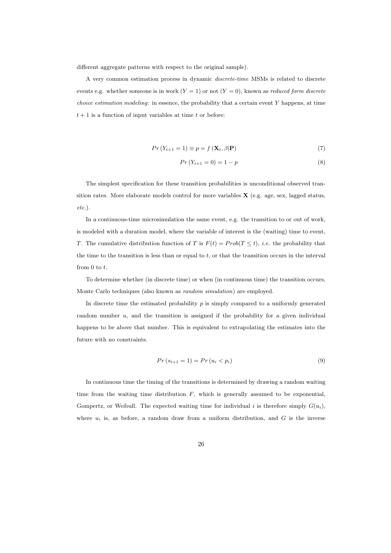different aggregate patterns with respect to the original sample).

A very common estimation process in dynamic discrete-time MSMs is related to discrete events e.g. whether someone is in work  $(Y = 1)$  or not  $(Y = 0)$ , known as *reduced form discrete choice estimation modeling:* in essence, the probability that a certain event  $Y$  happens, at time  $t + 1$  is a function of input variables at time t or before:

$$
Pr(Y_{t+1} = 1) \equiv p = f(\mathbf{X}_t, \beta | \mathbf{P})
$$
\n<sup>(7)</sup>

$$
Pr(Y_{t+1} = 0) = 1 - p \tag{8}
$$

The simplest specification for these transition probabilities is unconditional observed transition rates. More elaborate models control for more variables  $\mathbf{X}$  (e.g. age, sex, lagged status, etc.).

In a continuous-time microsimulation the same event, e.g. the transition to or out of work, is modeled with a duration model, where the variable of interest is the (waiting) time to event, T. The cumulative distribution function of T is  $F(t) = Prob(T \leq t)$ , *i.e.* the probability that the time to the transition is less than or equal to  $t$ , or that the transition occurs in the interval from  $0$  to  $t$ .

To determine whether (in discrete time) or when (in continuous time) the transition occurs, Monte Carlo techniques (also known as random simulation) are employed.

In discrete time the estimated probability p is simply compared to a uniformly generated random number  $u$ , and the transition is assigned if the probability for a given individual happens to be above that number. This is equivalent to extrapolating the estimates into the future with no constraints.

$$
Pr(s_{t+1} = 1) = Pr(u_i < p_i) \tag{9}
$$

In continuous time the timing of the transitions is determined by drawing a random waiting time from the waiting time distribution  $F$ , which is generally assumed to be exponential, Gompertz, or Weibull. The expected waiting time for individual i is therefore simply  $G(u_i)$ , where  $u_i$  is, as before, a random draw from a uniform distribution, and  $G$  is the inverse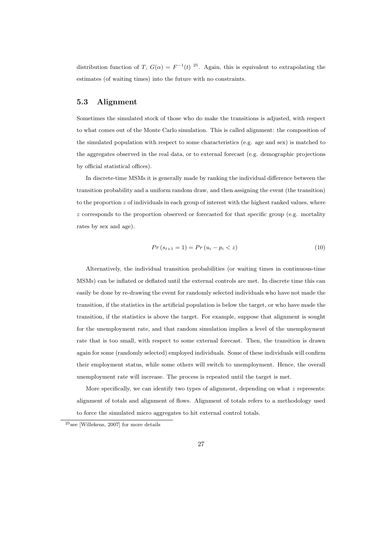distribution function of T,  $G(\alpha) = F^{-1}(t)^{25}$ . Again, this is equivalent to extrapolating the estimates (of waiting times) into the future with no constraints.

### 5.3 Alignment

Sometimes the simulated stock of those who do make the transitions is adjusted, with respect to what comes out of the Monte Carlo simulation. This is called alignment: the composition of the simulated population with respect to some characteristics (e.g. age and sex) is matched to the aggregates observed in the real data, or to external forecast (e.g. demographic projections by official statistical offices).

In discrete-time MSMs it is generally made by ranking the individual difference between the transition probability and a uniform random draw, and then assigning the event (the transition) to the proportion  $z$  of individuals in each group of interest with the highest ranked values, where  $z$  corresponds to the proportion observed or forecasted for that specific group (e.g. mortality rates by sex and age).

$$
Pr(s_{t+1} = 1) = Pr(u_i - p_i < z) \tag{10}
$$

Alternatively, the individual transition probabilities (or waiting times in continuous-time MSMs) can be inflated or deflated until the external controls are met. In discrete time this can easily be done by re-drawing the event for randomly selected individuals who have not made the transition, if the statistics in the artificial population is below the target, or who have made the transition, if the statistics is above the target. For example, suppose that alignment is sought for the unemployment rate, and that random simulation implies a level of the unemployment rate that is too small, with respect to some external forecast. Then, the transition is drawn again for some (randomly selected) employed individuals. Some of these individuals will confirm their employment status, while some others will switch to unemployment. Hence, the overall unemployment rate will increase. The process is repeated until the target is met.

More specifically, we can identify two types of alignment, depending on what  $z$  represents: alignment of totals and alignment of flows. Alignment of totals refers to a methodology used to force the simulated micro aggregates to hit external control totals.

<sup>25</sup>see [Willekens, 2007] for more details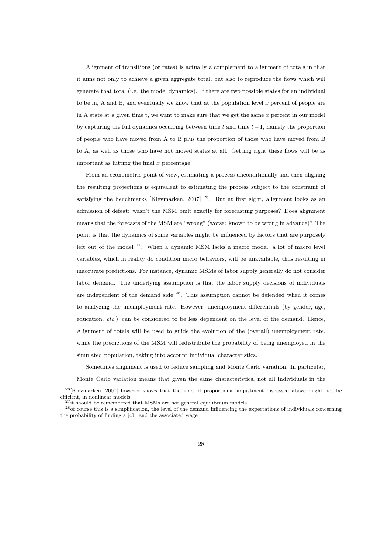Alignment of transitions (or rates) is actually a complement to alignment of totals in that it aims not only to achieve a given aggregate total, but also to reproduce the flows which will generate that total (i.e. the model dynamics). If there are two possible states for an individual to be in, A and B, and eventually we know that at the population level x percent of people are in A state at a given time t, we want to make sure that we get the same  $x$  percent in our model by capturing the full dynamics occurring between time t and time  $t-1$ , namely the proportion of people who have moved from A to B plus the proportion of those who have moved from B to A, as well as those who have not moved states at all. Getting right these flows will be as important as hitting the final  $x$  percentage.

From an econometric point of view, estimating a process unconditionally and then aligning the resulting projections is equivalent to estimating the process subject to the constraint of satisfying the benchmarks [Klevmarken, 2007]  $26$ . But at first sight, alignment looks as an admission of defeat: wasn't the MSM built exactly for forecasting purposes? Does alignment means that the forecasts of the MSM are "wrong" (worse: known to be wrong in advance)? The point is that the dynamics of some variables might be influenced by factors that are purposely left out of the model  $27$ . When a dynamic MSM lacks a macro model, a lot of macro level variables, which in reality do condition micro behaviors, will be unavailable, thus resulting in inaccurate predictions. For instance, dynamic MSMs of labor supply generally do not consider labor demand. The underlying assumption is that the labor supply decisions of individuals are independent of the demand side <sup>28</sup>. This assumption cannot be defended when it comes to analyzing the unemployment rate. However, unemployment differentials (by gender, age, education, etc.) can be considered to be less dependent on the level of the demand. Hence, Alignment of totals will be used to guide the evolution of the (overall) unemployment rate, while the predictions of the MSM will redistribute the probability of being unemployed in the simulated population, taking into account individual characteristics.

Sometimes alignment is used to reduce sampling and Monte Carlo variation. In particular,

Monte Carlo variation means that given the same characteristics, not all individuals in the

<sup>26</sup>[Klevmarken, 2007] however shows that the kind of proportional adjustment discussed above might not be efficient, in nonlinear models

 $^{27}{\rm it}$  should be remembered that MSMs are not general equilibrium models

<sup>28</sup>of course this is a simplification, the level of the demand influencing the expectations of individuals concerning the probability of finding a job, and the associated wage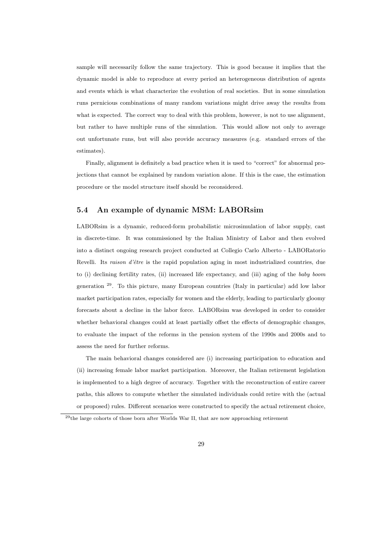sample will necessarily follow the same trajectory. This is good because it implies that the dynamic model is able to reproduce at every period an heterogeneous distribution of agents and events which is what characterize the evolution of real societies. But in some simulation runs pernicious combinations of many random variations might drive away the results from what is expected. The correct way to deal with this problem, however, is not to use alignment, but rather to have multiple runs of the simulation. This would allow not only to average out unfortunate runs, but will also provide accuracy measures (e.g. standard errors of the estimates).

Finally, alignment is definitely a bad practice when it is used to "correct" for abnormal projections that cannot be explained by random variation alone. If this is the case, the estimation procedure or the model structure itself should be reconsidered.

### 5.4 An example of dynamic MSM: LABORsim

LABORsim is a dynamic, reduced-form probabilistic microsimulation of labor supply, cast in discrete-time. It was commissioned by the Italian Ministry of Labor and then evolved into a distinct ongoing research project conducted at Collegio Carlo Alberto - LABORatorio Revelli. Its raison d'être is the rapid population aging in most industrialized countries, due to (i) declining fertility rates, (ii) increased life expectancy, and (iii) aging of the baby boom generation <sup>29</sup>. To this picture, many European countries (Italy in particular) add low labor market participation rates, especially for women and the elderly, leading to particularly gloomy forecasts about a decline in the labor force. LABORsim was developed in order to consider whether behavioral changes could at least partially offset the effects of demographic changes, to evaluate the impact of the reforms in the pension system of the 1990s and 2000s and to assess the need for further reforms.

The main behavioral changes considered are (i) increasing participation to education and (ii) increasing female labor market participation. Moreover, the Italian retirement legislation is implemented to a high degree of accuracy. Together with the reconstruction of entire career paths, this allows to compute whether the simulated individuals could retire with the (actual or proposed) rules. Different scenarios were constructed to specify the actual retirement choice,

<sup>29</sup>the large cohorts of those born after Worlds War II, that are now approaching retirement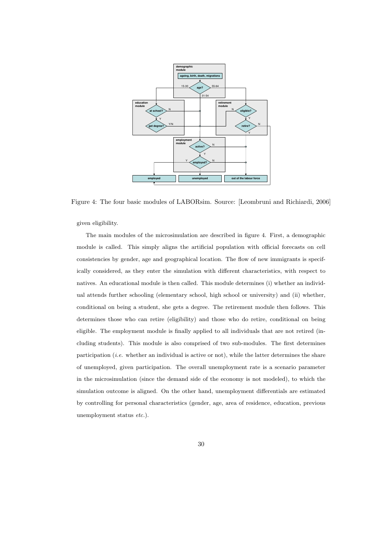

Figure 4: The four basic modules of LABORsim. Source: [Leombruni and Richiardi, 2006]

given eligibility.

The main modules of the microsimulation are described in figure 4. First, a demographic module is called. This simply aligns the artificial population with official forecasts on cell consistencies by gender, age and geographical location. The flow of new immigrants is specifically considered, as they enter the simulation with different characteristics, with respect to natives. An educational module is then called. This module determines (i) whether an individual attends further schooling (elementary school, high school or university) and (ii) whether, conditional on being a student, she gets a degree. The retirement module then follows. This determines those who can retire (eligibility) and those who do retire, conditional on being eligible. The employment module is finally applied to all individuals that are not retired (including students). This module is also comprised of two sub-modules. The first determines participation (*i.e.* whether an individual is active or not), while the latter determines the share of unemployed, given participation. The overall unemployment rate is a scenario parameter in the microsimulation (since the demand side of the economy is not modeled), to which the simulation outcome is aligned. On the other hand, unemployment differentials are estimated by controlling for personal characteristics (gender, age, area of residence, education, previous unemployment status etc.).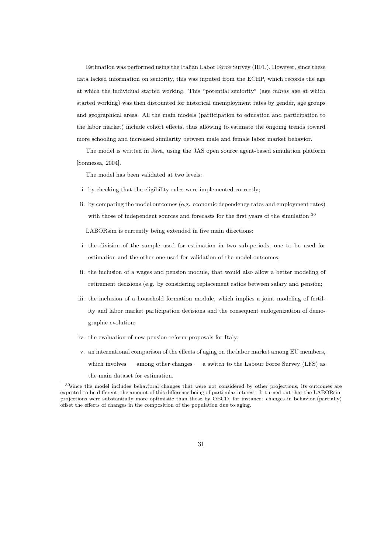Estimation was performed using the Italian Labor Force Survey (RFL). However, since these data lacked information on seniority, this was inputed from the ECHP, which records the age at which the individual started working. This "potential seniority" (age minus age at which started working) was then discounted for historical unemployment rates by gender, age groups and geographical areas. All the main models (participation to education and participation to the labor market) include cohort effects, thus allowing to estimate the ongoing trends toward more schooling and increased similarity between male and female labor market behavior.

The model is written in Java, using the JAS open source agent-based simulation platform [Sonnessa, 2004].

The model has been validated at two levels:

- i. by checking that the eligibility rules were implemented correctly;
- ii. by comparing the model outcomes (e.g. economic dependency rates and employment rates) with those of independent sources and forecasts for the first years of the simulation  $30$

LABORsim is currently being extended in five main directions:

- i. the division of the sample used for estimation in two sub-periods, one to be used for estimation and the other one used for validation of the model outcomes;
- ii. the inclusion of a wages and pension module, that would also allow a better modeling of retirement decisions (e.g. by considering replacement ratios between salary and pension;
- iii. the inclusion of a household formation module, which implies a joint modeling of fertility and labor market participation decisions and the consequent endogenization of demographic evolution;
- iv. the evaluation of new pension reform proposals for Italy;
- v. an international comparison of the effects of aging on the labor market among EU members, which involves — among other changes — a switch to the Labour Force Survey (LFS) as the main dataset for estimation.

<sup>30</sup>since the model includes behavioral changes that were not considered by other projections, its outcomes are expected to be different, the amount of this difference being of particular interest. It turned out that the LABORsim projections were substantially more optimistic than those by OECD, for instance: changes in behavior (partially) offset the effects of changes in the composition of the population due to aging.

<sup>31</sup>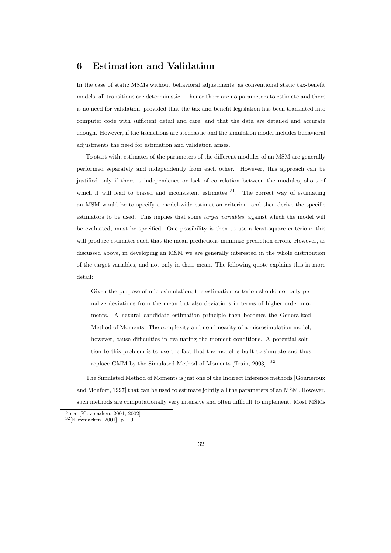# 6 Estimation and Validation

In the case of static MSMs without behavioral adjustments, as conventional static tax-benefit models, all transitions are deterministic — hence there are no parameters to estimate and there is no need for validation, provided that the tax and benefit legislation has been translated into computer code with sufficient detail and care, and that the data are detailed and accurate enough. However, if the transitions are stochastic and the simulation model includes behavioral adjustments the need for estimation and validation arises.

To start with, estimates of the parameters of the different modules of an MSM are generally performed separately and independently from each other. However, this approach can be justified only if there is independence or lack of correlation between the modules, short of which it will lead to biased and inconsistent estimates  $31$ . The correct way of estimating an MSM would be to specify a model-wide estimation criterion, and then derive the specific estimators to be used. This implies that some target variables, against which the model will be evaluated, must be specified. One possibility is then to use a least-square criterion: this will produce estimates such that the mean predictions minimize prediction errors. However, as discussed above, in developing an MSM we are generally interested in the whole distribution of the target variables, and not only in their mean. The following quote explains this in more detail:

Given the purpose of microsimulation, the estimation criterion should not only penalize deviations from the mean but also deviations in terms of higher order moments. A natural candidate estimation principle then becomes the Generalized Method of Moments. The complexity and non-linearity of a microsimulation model, however, cause difficulties in evaluating the moment conditions. A potential solution to this problem is to use the fact that the model is built to simulate and thus replace GMM by the Simulated Method of Moments [Train, 2003]. <sup>32</sup>

The Simulated Method of Moments is just one of the Indirect Inference methods [Gourieroux and Monfort, 1997] that can be used to estimate jointly all the parameters of an MSM. However, such methods are computationally very intensive and often difficult to implement. Most MSMs

<sup>31</sup>see [Klevmarken, 2001, 2002]

 $32$ [Klevmarken, 2001], p. 10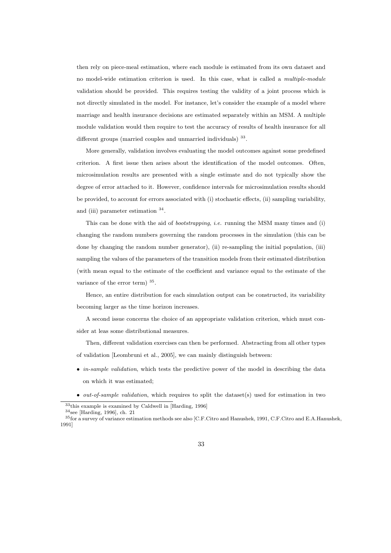then rely on piece-meal estimation, where each module is estimated from its own dataset and no model-wide estimation criterion is used. In this case, what is called a *multiple-module* validation should be provided. This requires testing the validity of a joint process which is not directly simulated in the model. For instance, let's consider the example of a model where marriage and health insurance decisions are estimated separately within an MSM. A multiple module validation would then require to test the accuracy of results of health insurance for all different groups (married couples and unmarried individuals) <sup>33</sup>.

More generally, validation involves evaluating the model outcomes against some predefined criterion. A first issue then arises about the identification of the model outcomes. Often, microsimulation results are presented with a single estimate and do not typically show the degree of error attached to it. However, confidence intervals for microsimulation results should be provided, to account for errors associated with (i) stochastic effects, (ii) sampling variability, and (iii) parameter estimation  $34$ .

This can be done with the aid of *bootstrapping*, *i.e.* running the MSM many times and (i) changing the random numbers governing the random processes in the simulation (this can be done by changing the random number generator), (ii) re-sampling the initial population, (iii) sampling the values of the parameters of the transition models from their estimated distribution (with mean equal to the estimate of the coefficient and variance equal to the estimate of the variance of the error term)  $35$ .

Hence, an entire distribution for each simulation output can be constructed, its variability becoming larger as the time horizon increases.

A second issue concerns the choice of an appropriate validation criterion, which must consider at leas some distributional measures.

Then, different validation exercises can then be performed. Abstracting from all other types of validation [Leombruni et al., 2005], we can mainly distinguish between:

- in-sample validation, which tests the predictive power of the model in describing the data on which it was estimated;
- out-of-sample validation, which requires to split the dataset(s) used for estimation in two

 $33$ <sup>33</sup>this example is examined by Caldwell in [Harding, 1996]

 $^{34}$ see [Harding, 1996], ch. 21

<sup>35</sup>for a survey of variance estimation methods see also [C.F.Citro and Hanushek, 1991, C.F.Citro and E.A.Hanushek, 1991]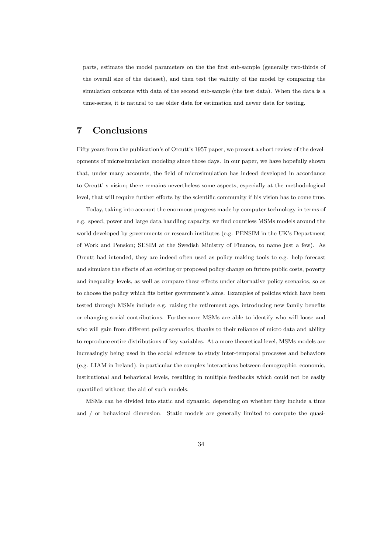parts, estimate the model parameters on the the first sub-sample (generally two-thirds of the overall size of the dataset), and then test the validity of the model by comparing the simulation outcome with data of the second sub-sample (the test data). When the data is a time-series, it is natural to use older data for estimation and newer data for testing.

# 7 Conclusions

Fifty years from the publication's of Orcutt's 1957 paper, we present a short review of the developments of microsimulation modeling since those days. In our paper, we have hopefully shown that, under many accounts, the field of microsimulation has indeed developed in accordance to Orcutt' s vision; there remains nevertheless some aspects, especially at the methodological level, that will require further efforts by the scientific community if his vision has to come true.

Today, taking into account the enormous progress made by computer technology in terms of e.g. speed, power and large data handling capacity, we find countless MSMs models around the world developed by governments or research institutes (e.g. PENSIM in the UK's Department of Work and Pension; SESIM at the Swedish Ministry of Finance, to name just a few). As Orcutt had intended, they are indeed often used as policy making tools to e.g. help forecast and simulate the effects of an existing or proposed policy change on future public costs, poverty and inequality levels, as well as compare these effects under alternative policy scenarios, so as to choose the policy which fits better government's aims. Examples of policies which have been tested through MSMs include e.g. raising the retirement age, introducing new family benefits or changing social contributions. Furthermore MSMs are able to identify who will loose and who will gain from different policy scenarios, thanks to their reliance of micro data and ability to reproduce entire distributions of key variables. At a more theoretical level, MSMs models are increasingly being used in the social sciences to study inter-temporal processes and behaviors (e.g. LIAM in Ireland), in particular the complex interactions between demographic, economic, institutional and behavioral levels, resulting in multiple feedbacks which could not be easily quantified without the aid of such models.

MSMs can be divided into static and dynamic, depending on whether they include a time and / or behavioral dimension. Static models are generally limited to compute the quasi-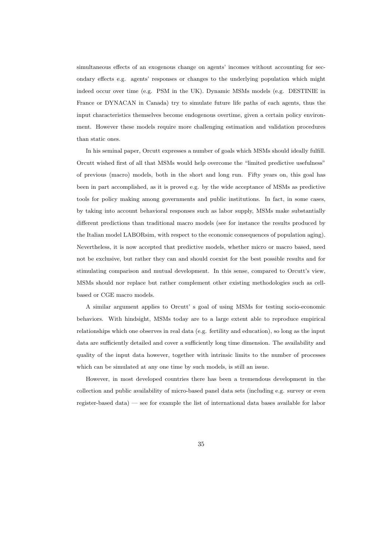simultaneous effects of an exogenous change on agents' incomes without accounting for secondary effects e.g. agents' responses or changes to the underlying population which might indeed occur over time (e.g. PSM in the UK). Dynamic MSMs models (e.g. DESTINIE in France or DYNACAN in Canada) try to simulate future life paths of each agents, thus the input characteristics themselves become endogenous overtime, given a certain policy environment. However these models require more challenging estimation and validation procedures than static ones.

In his seminal paper, Orcutt expresses a number of goals which MSMs should ideally fulfill. Orcutt wished first of all that MSMs would help overcome the "limited predictive usefulness" of previous (macro) models, both in the short and long run. Fifty years on, this goal has been in part accomplished, as it is proved e.g. by the wide acceptance of MSMs as predictive tools for policy making among governments and public institutions. In fact, in some cases, by taking into account behavioral responses such as labor supply, MSMs make substantially different predictions than traditional macro models (see for instance the results produced by the Italian model LABORsim, with respect to the economic consequences of population aging). Nevertheless, it is now accepted that predictive models, whether micro or macro based, need not be exclusive, but rather they can and should coexist for the best possible results and for stimulating comparison and mutual development. In this sense, compared to Orcutt's view, MSMs should nor replace but rather complement other existing methodologies such as cellbased or CGE macro models.

A similar argument applies to Orcutt' s goal of using MSMs for testing socio-economic behaviors. With hindsight, MSMs today are to a large extent able to reproduce empirical relationships which one observes in real data (e.g. fertility and education), so long as the input data are sufficiently detailed and cover a sufficiently long time dimension. The availability and quality of the input data however, together with intrinsic limits to the number of processes which can be simulated at any one time by such models, is still an issue.

However, in most developed countries there has been a tremendous development in the collection and public availability of micro-based panel data sets (including e.g. survey or even register-based data) — see for example the list of international data bases available for labor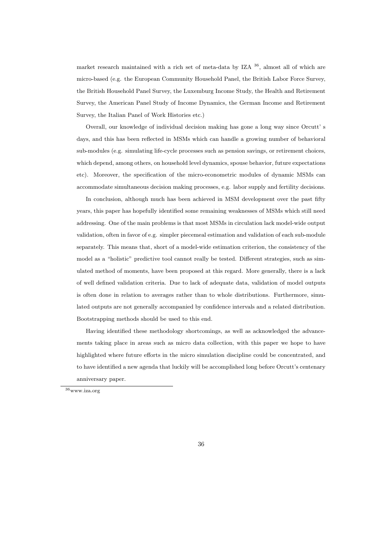market research maintained with a rich set of meta-data by IZA <sup>36</sup>, almost all of which are micro-based (e.g. the European Community Household Panel, the British Labor Force Survey, the British Household Panel Survey, the Luxemburg Income Study, the Health and Retirement Survey, the American Panel Study of Income Dynamics, the German Income and Retirement Survey, the Italian Panel of Work Histories etc.)

Overall, our knowledge of individual decision making has gone a long way since Orcutt' s days, and this has been reflected in MSMs which can handle a growing number of behavioral sub-modules (e.g. simulating life-cycle processes such as pension savings, or retirement choices, which depend, among others, on household level dynamics, spouse behavior, future expectations etc). Moreover, the specification of the micro-econometric modules of dynamic MSMs can accommodate simultaneous decision making processes, e.g. labor supply and fertility decisions.

In conclusion, although much has been achieved in MSM development over the past fifty years, this paper has hopefully identified some remaining weaknesses of MSMs which still need addressing. One of the main problems is that most MSMs in circulation lack model-wide output validation, often in favor of e.g. simpler piecemeal estimation and validation of each sub-module separately. This means that, short of a model-wide estimation criterion, the consistency of the model as a "holistic" predictive tool cannot really be tested. Different strategies, such as simulated method of moments, have been proposed at this regard. More generally, there is a lack of well defined validation criteria. Due to lack of adequate data, validation of model outputs is often done in relation to averages rather than to whole distributions. Furthermore, simulated outputs are not generally accompanied by confidence intervals and a related distribution. Bootstrapping methods should be used to this end.

Having identified these methodology shortcomings, as well as acknowledged the advancements taking place in areas such as micro data collection, with this paper we hope to have highlighted where future efforts in the micro simulation discipline could be concentrated, and to have identified a new agenda that luckily will be accomplished long before Orcutt's centenary anniversary paper.

 $^{36}\rm{www.iza.org}$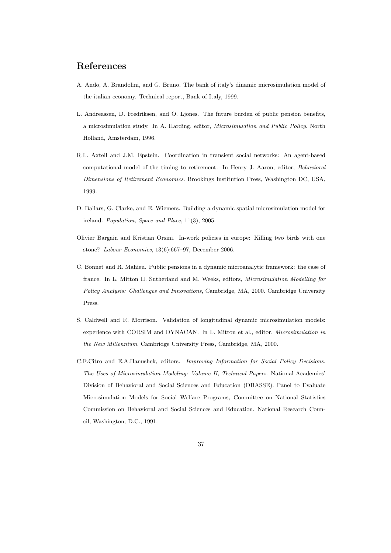# References

- A. Ando, A. Brandolini, and G. Bruno. The bank of italy's dinamic microsimulation model of the italian economy. Technical report, Bank of Italy, 1999.
- L. Andreassen, D. Fredriksen, and O. Ljones. The future burden of public pension benefits, a microsimulation study. In A. Harding, editor, Microsimulation and Public Policy. North Holland, Amsterdam, 1996.
- R.L. Axtell and J.M. Epstein. Coordination in transient social networks: An agent-based computational model of the timing to retirement. In Henry J. Aaron, editor, Behavioral Dimensions of Retirement Economics. Brookings Institution Press, Washington DC, USA, 1999.
- D. Ballars, G. Clarke, and E. Wiemers. Building a dynamic spatial microsimulation model for ireland. Population, Space and Place, 11(3), 2005.
- Olivier Bargain and Kristian Orsini. In-work policies in europe: Killing two birds with one stone? Labour Economics, 13(6):667–97, December 2006.
- C. Bonnet and R. Mahieu. Public pensions in a dynamic microanalytic framework: the case of france. In L. Mitton H. Sutherland and M. Weeks, editors, Microsimulation Modelling for Policy Analysis: Challenges and Innovations, Cambridge, MA, 2000. Cambridge University Press.
- S. Caldwell and R. Morrison. Validation of longitudinal dynamic microsimulation models: experience with CORSIM and DYNACAN. In L. Mitton et al., editor, Microsimulation in the New Millennium. Cambridge University Press, Cambridge, MA, 2000.
- C.F.Citro and E.A.Hanushek, editors. Improving Information for Social Policy Decisions. The Uses of Microsimulation Modeling: Volume II, Technical Papers. National Academies' Division of Behavioral and Social Sciences and Education (DBASSE). Panel to Evaluate Microsimulation Models for Social Welfare Programs, Committee on National Statistics Commission on Behavioral and Social Sciences and Education, National Research Council, Washington, D.C., 1991.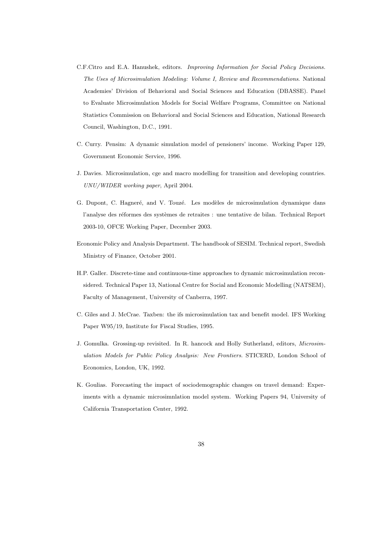- C.F.Citro and E.A. Hanushek, editors. Improving Information for Social Policy Decisions. The Uses of Microsimulation Modeling: Volume I, Review and Recommendations. National Academies' Division of Behavioral and Social Sciences and Education (DBASSE). Panel to Evaluate Microsimulation Models for Social Welfare Programs, Committee on National Statistics Commission on Behavioral and Social Sciences and Education, National Research Council, Washington, D.C., 1991.
- C. Curry. Pensim: A dynamic simulation model of pensioners' income. Working Paper 129, Government Economic Service, 1996.
- J. Davies. Microsimulation, cge and macro modelling for transition and developing countries. UNU/WIDER working paper, April 2004.
- G. Dupont, C. Hagneré, and V. Touzé. Les modèles de microsimulation dynamique dans l'analyse des réformes des systèmes de retraites : une tentative de bilan. Technical Report 2003-10, OFCE Working Paper, December 2003.
- Economic Policy and Analysis Department. The handbook of SESIM. Technical report, Swedish Ministry of Finance, October 2001.
- H.P. Galler. Discrete-time and continuous-time approaches to dynamic microsimulation reconsidered. Technical Paper 13, National Centre for Social and Economic Modelling (NATSEM), Faculty of Management, University of Canberra, 1997.
- C. Giles and J. McCrae. Taxben: the ifs microsimulation tax and benefit model. IFS Working Paper W95/19, Institute for Fiscal Studies, 1995.
- J. Gomulka. Grossing-up revisited. In R. hancock and Holly Sutherland, editors, Microsimulation Models for Public Policy Analysis: New Frontiers. STICERD, London School of Economics, London, UK, 1992.
- K. Goulias. Forecasting the impact of sociodemographic changes on travel demand: Experiments with a dynamic microsimnlation model system. Working Papers 94, University of California Transportation Center, 1992.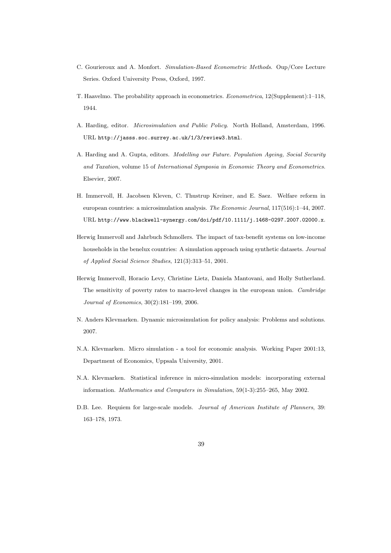- C. Gourieroux and A. Monfort. Simulation-Based Econometric Methods. Oup/Core Lecture Series. Oxford University Press, Oxford, 1997.
- T. Haavelmo. The probability approach in econometrics. Econometrica, 12(Supplement):1–118, 1944.
- A. Harding, editor. Microsimulation and Public Policy. North Holland, Amsterdam, 1996. URL http://jasss.soc.surrey.ac.uk/1/3/review3.html.
- A. Harding and A. Gupta, editors. Modelling our Future. Population Ageing, Social Security and Taxation, volume 15 of International Symposia in Economic Theory and Econometrics. Elsevier, 2007.
- H. Immervoll, H. Jacobsen Kleven, C. Thustrup Kreiner, and E. Saez. Welfare reform in european countries: a microsimulation analysis. The Economic Journal, 117(516):1–44, 2007. URL http://www.blackwell-synergy.com/doi/pdf/10.1111/j.1468-0297.2007.02000.x.
- Herwig Immervoll and Jahrbuch Schmollers. The impact of tax-benefit systems on low-income households in the benelux countries: A simulation approach using synthetic datasets. Journal of Applied Social Science Studies, 121(3):313–51, 2001.
- Herwig Immervoll, Horacio Levy, Christine Lietz, Daniela Mantovani, and Holly Sutherland. The sensitivity of poverty rates to macro-level changes in the european union. Cambridge Journal of Economics, 30(2):181–199, 2006.
- N. Anders Klevmarken. Dynamic microsimulation for policy analysis: Problems and solutions. 2007.
- N.A. Klevmarken. Micro simulation a tool for economic analysis. Working Paper 2001:13, Department of Economics, Uppsala University, 2001.
- N.A. Klevmarken. Statistical inference in micro-simulation models: incorporating external information. Mathematics and Computers in Simulation, 59(1-3):255–265, May 2002.
- D.B. Lee. Requiem for large-scale models. *Journal of American Institute of Planners*, 39: 163–178, 1973.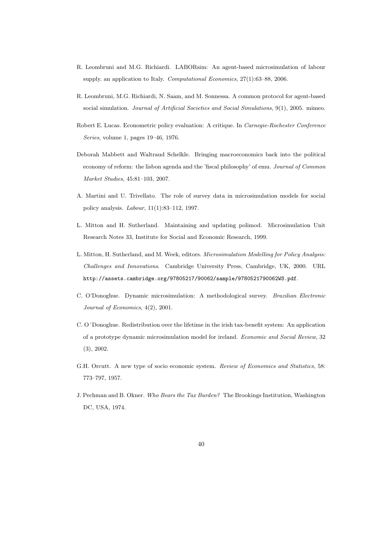- R. Leombruni and M.G. Richiardi. LABORsim: An agent-based microsimulation of labour supply. an application to Italy. Computational Economics, 27(1):63–88, 2006.
- R. Leombruni, M.G. Richiardi, N. Saam, and M. Sonnessa. A common protocol for agent-based social simulation. Journal of Artificial Societies and Social Simulations, 9(1), 2005. mimeo.
- Robert E. Lucas. Econometric policy evaluation: A critique. In Carnegie-Rochester Conference Series, volume 1, pages 19–46, 1976.
- Deborah Mabbett and Waltraud Schelkle. Bringing macroeconomics back into the political economy of reform: the lisbon agenda and the 'fiscal philosophy' of emu. Journal of Common Market Studies, 45:81–103, 2007.
- A. Martini and U. Trivellato. The role of survey data in microsimulation models for social policy analysis. Labour, 11(1):83–112, 1997.
- L. Mitton and H. Sutherland. Maintaining and updating polimod. Microsimulation Unit Research Notes 33, Institute for Social and Economic Research, 1999.
- L. Mitton, H. Sutherland, and M. Week, editors. Microsimulation Modelling for Policy Analysis: Challenges and Innovations. Cambridge University Press, Cambridge, UK, 2000. URL http://assets.cambridge.org/97805217/90062/sample/9780521790062WS.pdf.
- C. O'Donoghue. Dynamic microsimulation: A methodological survey. Brazilian Electronic Journal of Economics, 4(2), 2001.
- C. O´Donoghue. Redistribution over the lifetime in the irish tax-benefit system: An application of a prototype dynamic microsimulation model for ireland. Economic and Social Review, 32 (3), 2002.
- G.H. Orcutt. A new type of socio economic system. Review of Economics and Statistics, 58: 773–797, 1957.
- J. Pechman and B. Okner. Who Bears the Tax Burden? The Brookings Institution, Washington DC, USA, 1974.